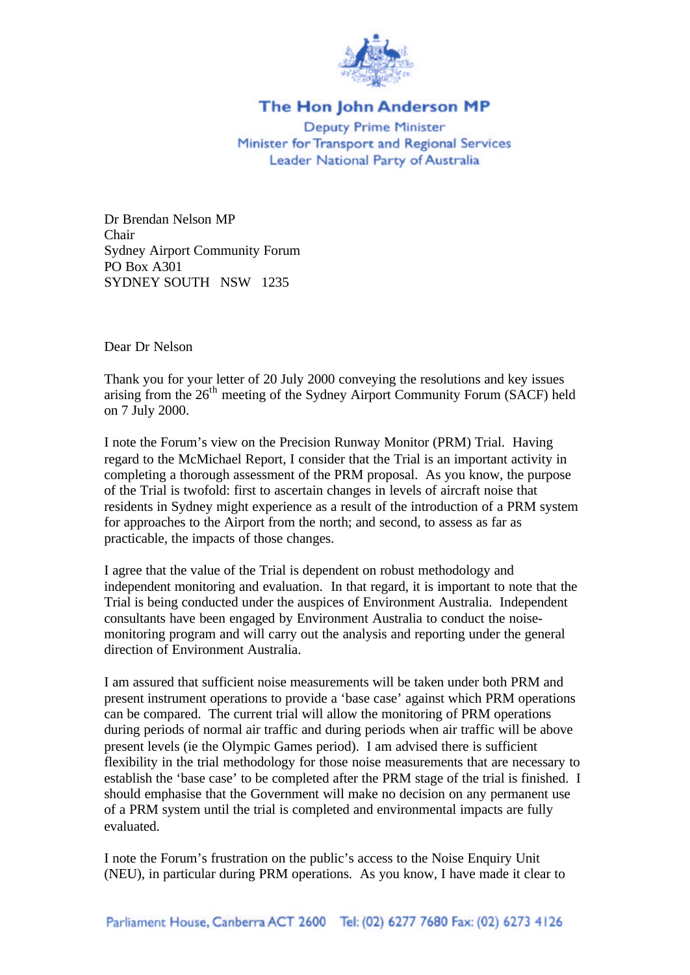

## The Hon John Anderson MP

**Deputy Prime Minister** Minister for Transport and Regional Services Leader National Party of Australia

Dr Brendan Nelson MP Chair Sydney Airport Community Forum PO Box A301 SYDNEY SOUTH NSW 1235

Dear Dr Nelson

Thank you for your letter of 20 July 2000 conveying the resolutions and key issues arising from the  $26<sup>th</sup>$  meeting of the Sydney Airport Community Forum (SACF) held on 7 July 2000.

I note the Forum's view on the Precision Runway Monitor (PRM) Trial. Having regard to the McMichael Report, I consider that the Trial is an important activity in completing a thorough assessment of the PRM proposal. As you know, the purpose of the Trial is twofold: first to ascertain changes in levels of aircraft noise that residents in Sydney might experience as a result of the introduction of a PRM system for approaches to the Airport from the north; and second, to assess as far as practicable, the impacts of those changes.

I agree that the value of the Trial is dependent on robust methodology and independent monitoring and evaluation. In that regard, it is important to note that the Trial is being conducted under the auspices of Environment Australia. Independent consultants have been engaged by Environment Australia to conduct the noisemonitoring program and will carry out the analysis and reporting under the general direction of Environment Australia.

I am assured that sufficient noise measurements will be taken under both PRM and present instrument operations to provide a 'base case' against which PRM operations can be compared. The current trial will allow the monitoring of PRM operations during periods of normal air traffic and during periods when air traffic will be above present levels (ie the Olympic Games period). I am advised there is sufficient flexibility in the trial methodology for those noise measurements that are necessary to establish the 'base case' to be completed after the PRM stage of the trial is finished. I should emphasise that the Government will make no decision on any permanent use of a PRM system until the trial is completed and environmental impacts are fully evaluated.

I note the Forum's frustration on the public's access to the Noise Enquiry Unit (NEU), in particular during PRM operations. As you know, I have made it clear to